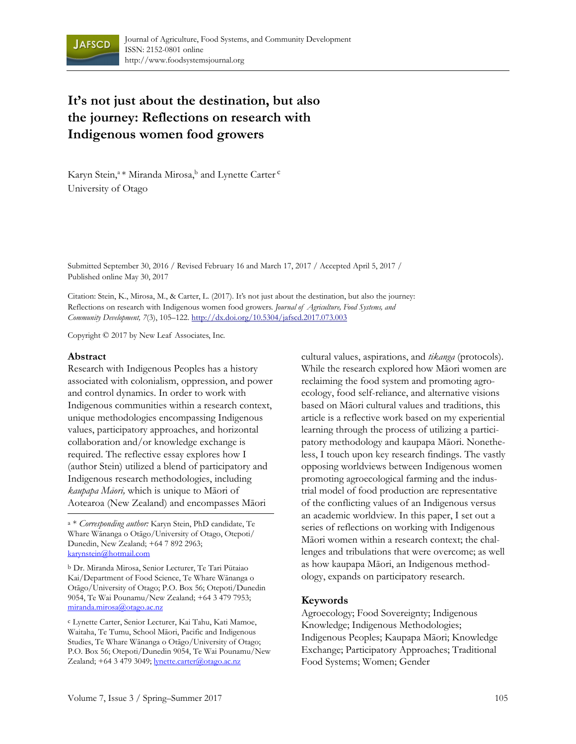

# **It's not just about the destination, but also the journey: Reflections on research with Indigenous women food growers**

Karyn Stein,<sup>a \*</sup> Miranda Mirosa,<sup>b</sup> and Lynette Carter <sup>c</sup> University of Otago

Submitted September 30, 2016 / Revised February 16 and March 17, 2017 / Accepted April 5, 2017 / Published online May 30, 2017

Citation: Stein, K., Mirosa, M., & Carter, L. (2017). It's not just about the destination, but also the journey: Reflections on research with Indigenous women food growers. *Journal of Agriculture, Food Systems, and Community Development, 7*(3), 105–122. http://dx.doi.org/10.5304/jafscd.2017.073.003

Copyright © 2017 by New Leaf Associates, Inc.

#### **Abstract**

Research with Indigenous Peoples has a history associated with colonialism, oppression, and power and control dynamics. In order to work with Indigenous communities within a research context, unique methodologies encompassing Indigenous values, participatory approaches, and horizontal collaboration and/or knowledge exchange is required. The reflective essay explores how I (author Stein) utilized a blend of participatory and Indigenous research methodologies, including *kaupapa Māori,* which is unique to Māori of Aotearoa (New Zealand) and encompasses Māori

a \* *Corresponding author:* Karyn Stein, PhD candidate, Te Whare Wānanga o Otāgo/University of Otago, Otepoti/ Dunedin, New Zealand; +64 7 892 2963; karynstein@hotmail.com

b Dr. Miranda Mirosa, Senior Lecturer, Te Tari Pütaiao Kai/Department of Food Science, Te Whare Wānanga o Otāgo/University of Otago; P.O. Box 56; Otepoti/Dunedin 9054, Te Wai Pounamu/New Zealand; +64 3 479 7953; miranda.mirosa@otago.ac.nz

c Lynette Carter, Senior Lecturer, Kai Tahu, Kati Mamoe, Waitaha, Te Tumu, School Māori, Pacific and Indigenous Studies, Te Whare Wānanga o Otāgo/University of Otago; P.O. Box 56; Otepoti/Dunedin 9054, Te Wai Pounamu/New Zealand; +64 3 479 3049; lynette.carter@otago.ac.nz

cultural values, aspirations, and *tikanga* (protocols). While the research explored how Māori women are reclaiming the food system and promoting agroecology, food self-reliance, and alternative visions based on Māori cultural values and traditions, this article is a reflective work based on my experiential learning through the process of utilizing a participatory methodology and kaupapa Māori. Nonetheless, I touch upon key research findings. The vastly opposing worldviews between Indigenous women promoting agroecological farming and the industrial model of food production are representative of the conflicting values of an Indigenous versus an academic worldview. In this paper, I set out a series of reflections on working with Indigenous Māori women within a research context; the challenges and tribulations that were overcome; as well as how kaupapa Māori, an Indigenous methodology, expands on participatory research.

#### **Keywords**

Agroecology; Food Sovereignty; Indigenous Knowledge; Indigenous Methodologies; Indigenous Peoples; Kaupapa Māori; Knowledge Exchange; Participatory Approaches; Traditional Food Systems; Women; Gender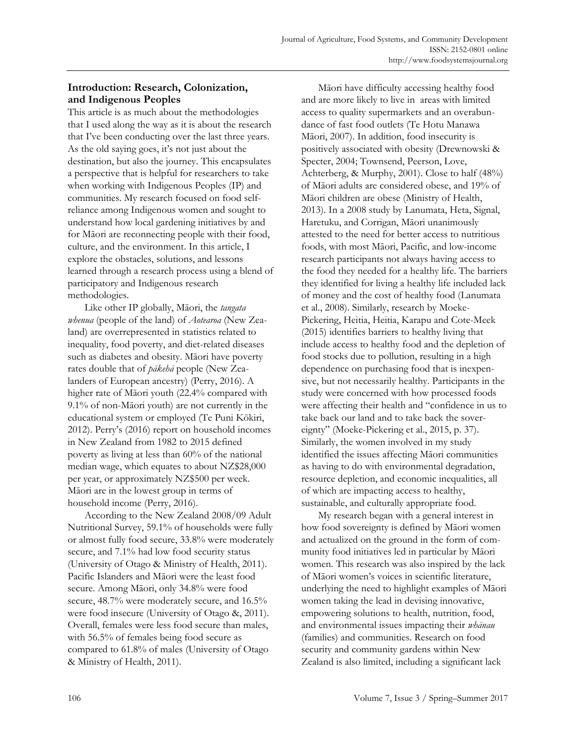# **Introduction: Research, Colonization, and Indigenous Peoples**

This article is as much about the methodologies that I used along the way as it is about the research that I've been conducting over the last three years. As the old saying goes, it's not just about the destination, but also the journey. This encapsulates a perspective that is helpful for researchers to take when working with Indigenous Peoples (IP) and communities. My research focused on food selfreliance among Indigenous women and sought to understand how local gardening initiatives by and for Māori are reconnecting people with their food, culture, and the environment. In this article, I explore the obstacles, solutions, and lessons learned through a research process using a blend of participatory and Indigenous research methodologies.

 Like other IP globally, Māori, the *tangata whenua* (people of the land) of *Aotearoa* (New Zealand) are overrepresented in statistics related to inequality, food poverty, and diet-related diseases such as diabetes and obesity. Māori have poverty rates double that of *pākehā* people (New Zealanders of European ancestry) (Perry, 2016). A higher rate of Māori youth (22.4% compared with 9.1% of non-Māori youth) are not currently in the educational system or employed (Te Puni Kōkiri, 2012). Perry's (2016) report on household incomes in New Zealand from 1982 to 2015 defined poverty as living at less than 60% of the national median wage, which equates to about NZ\$28,000 per year, or approximately NZ\$500 per week. Māori are in the lowest group in terms of household income (Perry, 2016).

 According to the New Zealand 2008/09 Adult Nutritional Survey, 59.1% of households were fully or almost fully food secure, 33.8% were moderately secure, and 7.1% had low food security status (University of Otago & Ministry of Health, 2011). Pacific Islanders and Māori were the least food secure. Among Māori, only 34.8% were food secure, 48.7% were moderately secure, and 16.5% were food insecure (University of Otago &, 2011). Overall, females were less food secure than males, with 56.5% of females being food secure as compared to 61.8% of males (University of Otago & Ministry of Health, 2011).

 Māori have difficulty accessing healthy food and are more likely to live in areas with limited access to quality supermarkets and an overabundance of fast food outlets (Te Hotu Manawa Māori, 2007). In addition, food insecurity is positively associated with obesity (Drewnowski & Specter, 2004; Townsend, Peerson, Love, Achterberg, & Murphy, 2001). Close to half (48%) of Māori adults are considered obese, and 19% of Māori children are obese (Ministry of Health, 2013). In a 2008 study by Lanumata, Heta, Signal, Haretuku, and Corrigan, Māori unanimously attested to the need for better access to nutritious foods, with most Māori, Pacific, and low-income research participants not always having access to the food they needed for a healthy life. The barriers they identified for living a healthy life included lack of money and the cost of healthy food (Lanumata et al., 2008). Similarly, research by Moeke-Pickering, Heitia, Heitia, Karapu and Cote-Meek (2015) identifies barriers to healthy living that include access to healthy food and the depletion of food stocks due to pollution, resulting in a high dependence on purchasing food that is inexpensive, but not necessarily healthy. Participants in the study were concerned with how processed foods were affecting their health and "confidence in us to take back our land and to take back the sovereignty" (Moeke-Pickering et al., 2015, p. 37). Similarly, the women involved in my study identified the issues affecting Māori communities as having to do with environmental degradation, resource depletion, and economic inequalities, all of which are impacting access to healthy, sustainable, and culturally appropriate food.

 My research began with a general interest in how food sovereignty is defined by Māori women and actualized on the ground in the form of community food initiatives led in particular by Māori women. This research was also inspired by the lack of Māori women's voices in scientific literature, underlying the need to highlight examples of Māori women taking the lead in devising innovative, empowering solutions to health, nutrition, food, and environmental issues impacting their *whānau* (families) and communities. Research on food security and community gardens within New Zealand is also limited, including a significant lack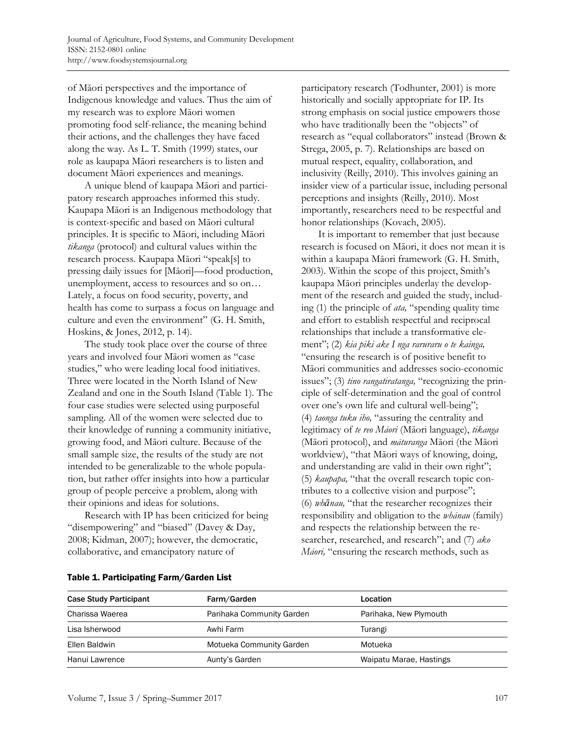of Māori perspectives and the importance of Indigenous knowledge and values. Thus the aim of my research was to explore Māori women promoting food self-reliance, the meaning behind their actions, and the challenges they have faced along the way. As L. T. Smith (1999) states, our role as kaupapa Māori researchers is to listen and document Māori experiences and meanings.

 A unique blend of kaupapa Māori and participatory research approaches informed this study. Kaupapa Māori is an Indigenous methodology that is context-specific and based on Māori cultural principles. It is specific to Māori, including Māori *tikanga* (protocol) and cultural values within the research process. Kaupapa Māori "speak[s] to pressing daily issues for [Māori]—food production, unemployment, access to resources and so on… Lately, a focus on food security, poverty, and health has come to surpass a focus on language and culture and even the environment" (G. H. Smith, Hoskins, & Jones, 2012, p. 14).

 The study took place over the course of three years and involved four Māori women as "case studies," who were leading local food initiatives. Three were located in the North Island of New Zealand and one in the South Island (Table 1). The four case studies were selected using purposeful sampling. All of the women were selected due to their knowledge of running a community initiative, growing food, and Māori culture. Because of the small sample size, the results of the study are not intended to be generalizable to the whole population, but rather offer insights into how a particular group of people perceive a problem, along with their opinions and ideas for solutions.

 Research with IP has been criticized for being "disempowering" and "biased" (Davey & Day, 2008; Kidman, 2007); however, the democratic, collaborative, and emancipatory nature of

participatory research (Todhunter, 2001) is more historically and socially appropriate for IP. Its strong emphasis on social justice empowers those who have traditionally been the "objects" of research as "equal collaborators" instead (Brown & Strega, 2005, p. 7). Relationships are based on mutual respect, equality, collaboration, and inclusivity (Reilly, 2010). This involves gaining an insider view of a particular issue, including personal perceptions and insights (Reilly, 2010). Most importantly, researchers need to be respectful and honor relationships (Kovach, 2005).

 It is important to remember that just because research is focused on Māori, it does not mean it is within a kaupapa Māori framework (G. H. Smith, 2003). Within the scope of this project, Smith's kaupapa Māori principles underlay the development of the research and guided the study, including (1) the principle of *ata,* "spending quality time and effort to establish respectful and reciprocal relationships that include a transformative element"; (2) *kia piki ake I nga raruraru o te kainga,*  "ensuring the research is of positive benefit to Māori communities and addresses socio-economic issues"; (3) *tino rangatiratanga,* "recognizing the principle of self-determination and the goal of control over one's own life and cultural well-being"; (4) *taonga tuku iho,* "assuring the centrality and legitimacy of *te reo Māori* (Māori language), *tikanga*  (Māori protocol), and *māturanga* Māori (the Māori worldview), "that Māori ways of knowing, doing, and understanding are valid in their own right"; (5) *kaupapa,* "that the overall research topic contributes to a collective vision and purpose"; (6) *whānau,* "that the researcher recognizes their responsibility and obligation to the *whānau* (family) and respects the relationship between the researcher, researched, and research"; and (7) *ako Māori,* "ensuring the research methods, such as

| <b>Case Study Participant</b> | Farm/Garden                                         | Location                |  |
|-------------------------------|-----------------------------------------------------|-------------------------|--|
| Charissa Waerea               | Parihaka Community Garden<br>Parihaka, New Plymouth |                         |  |
| Lisa Isherwood                | Awhi Farm                                           | Turangi                 |  |
| Ellen Baldwin                 | Motueka Community Garden                            | Motueka                 |  |
| Hanui Lawrence                | Aunty's Garden                                      | Waipatu Marae, Hastings |  |

#### Table 1. Participating Farm/Garden List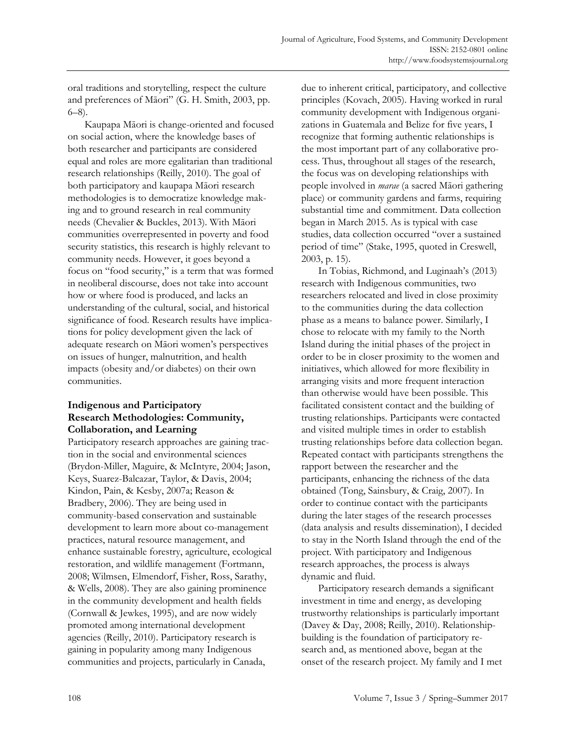oral traditions and storytelling, respect the culture and preferences of Māori" (G. H. Smith, 2003, pp. 6–8).

 Kaupapa Māori is change-oriented and focused on social action, where the knowledge bases of both researcher and participants are considered equal and roles are more egalitarian than traditional research relationships (Reilly, 2010). The goal of both participatory and kaupapa Māori research methodologies is to democratize knowledge making and to ground research in real community needs (Chevalier & Buckles, 2013). With Māori communities overrepresented in poverty and food security statistics, this research is highly relevant to community needs. However, it goes beyond a focus on "food security," is a term that was formed in neoliberal discourse, does not take into account how or where food is produced, and lacks an understanding of the cultural, social, and historical significance of food. Research results have implications for policy development given the lack of adequate research on Māori women's perspectives on issues of hunger, malnutrition, and health impacts (obesity and/or diabetes) on their own communities.

### **Indigenous and Participatory Research Methodologies: Community, Collaboration, and Learning**

Participatory research approaches are gaining traction in the social and environmental sciences (Brydon-Miller, Maguire, & McIntyre, 2004; Jason, Keys, Suarez-Balcazar, Taylor, & Davis, 2004; Kindon, Pain, & Kesby, 2007a; Reason & Bradbery, 2006). They are being used in community-based conservation and sustainable development to learn more about co-management practices, natural resource management, and enhance sustainable forestry, agriculture, ecological restoration, and wildlife management (Fortmann, 2008; Wilmsen, Elmendorf, Fisher, Ross, Sarathy, & Wells, 2008). They are also gaining prominence in the community development and health fields (Cornwall & Jewkes, 1995), and are now widely promoted among international development agencies (Reilly, 2010). Participatory research is gaining in popularity among many Indigenous communities and projects, particularly in Canada,

due to inherent critical, participatory, and collective principles (Kovach, 2005). Having worked in rural community development with Indigenous organizations in Guatemala and Belize for five years, I recognize that forming authentic relationships is the most important part of any collaborative process. Thus, throughout all stages of the research, the focus was on developing relationships with people involved in *marae* (a sacred Māori gathering place) or community gardens and farms, requiring substantial time and commitment. Data collection began in March 2015. As is typical with case studies, data collection occurred "over a sustained period of time" (Stake, 1995, quoted in Creswell, 2003, p. 15).

 In Tobias, Richmond, and Luginaah's (2013) research with Indigenous communities, two researchers relocated and lived in close proximity to the communities during the data collection phase as a means to balance power. Similarly, I chose to relocate with my family to the North Island during the initial phases of the project in order to be in closer proximity to the women and initiatives, which allowed for more flexibility in arranging visits and more frequent interaction than otherwise would have been possible. This facilitated consistent contact and the building of trusting relationships. Participants were contacted and visited multiple times in order to establish trusting relationships before data collection began. Repeated contact with participants strengthens the rapport between the researcher and the participants, enhancing the richness of the data obtained (Tong, Sainsbury, & Craig, 2007). In order to continue contact with the participants during the later stages of the research processes (data analysis and results dissemination), I decided to stay in the North Island through the end of the project. With participatory and Indigenous research approaches, the process is always dynamic and fluid.

 Participatory research demands a significant investment in time and energy, as developing trustworthy relationships is particularly important (Davey & Day, 2008; Reilly, 2010). Relationshipbuilding is the foundation of participatory research and, as mentioned above, began at the onset of the research project. My family and I met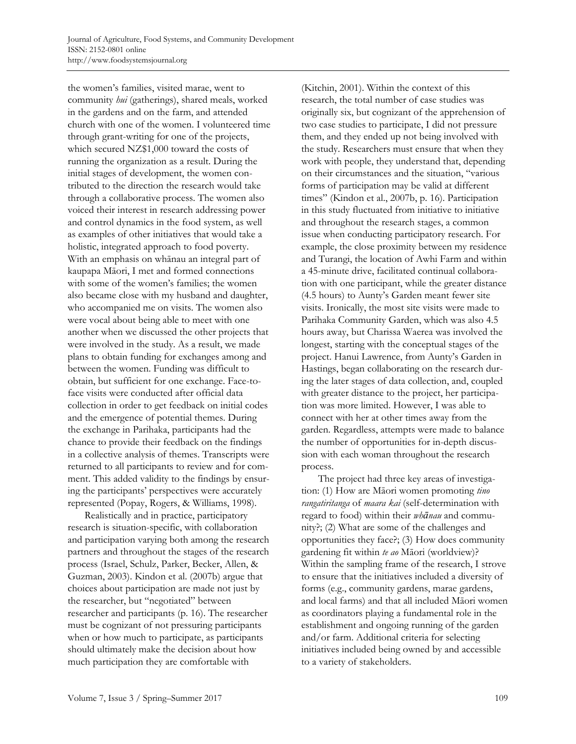the women's families, visited marae, went to community *hui* (gatherings), shared meals, worked in the gardens and on the farm, and attended church with one of the women. I volunteered time through grant-writing for one of the projects, which secured NZ\$1,000 toward the costs of running the organization as a result. During the initial stages of development, the women contributed to the direction the research would take through a collaborative process. The women also voiced their interest in research addressing power and control dynamics in the food system, as well as examples of other initiatives that would take a holistic, integrated approach to food poverty. With an emphasis on whānau an integral part of kaupapa Māori, I met and formed connections with some of the women's families; the women also became close with my husband and daughter, who accompanied me on visits. The women also were vocal about being able to meet with one another when we discussed the other projects that were involved in the study. As a result, we made plans to obtain funding for exchanges among and between the women. Funding was difficult to obtain, but sufficient for one exchange. Face-toface visits were conducted after official data collection in order to get feedback on initial codes and the emergence of potential themes. During the exchange in Parihaka, participants had the chance to provide their feedback on the findings in a collective analysis of themes. Transcripts were returned to all participants to review and for comment. This added validity to the findings by ensuring the participants' perspectives were accurately represented (Popay, Rogers, & Williams, 1998).

 Realistically and in practice, participatory research is situation-specific, with collaboration and participation varying both among the research partners and throughout the stages of the research process (Israel, Schulz, Parker, Becker, Allen, & Guzman, 2003). Kindon et al. (2007b) argue that choices about participation are made not just by the researcher, but "negotiated" between researcher and participants (p. 16). The researcher must be cognizant of not pressuring participants when or how much to participate, as participants should ultimately make the decision about how much participation they are comfortable with

(Kitchin, 2001). Within the context of this research, the total number of case studies was originally six, but cognizant of the apprehension of two case studies to participate, I did not pressure them, and they ended up not being involved with the study. Researchers must ensure that when they work with people, they understand that, depending on their circumstances and the situation, "various forms of participation may be valid at different times" (Kindon et al., 2007b, p. 16). Participation in this study fluctuated from initiative to initiative and throughout the research stages, a common issue when conducting participatory research. For example, the close proximity between my residence and Turangi, the location of Awhi Farm and within a 45-minute drive, facilitated continual collaboration with one participant, while the greater distance (4.5 hours) to Aunty's Garden meant fewer site visits. Ironically, the most site visits were made to Parihaka Community Garden, which was also 4.5 hours away, but Charissa Waerea was involved the longest, starting with the conceptual stages of the project. Hanui Lawrence, from Aunty's Garden in Hastings, began collaborating on the research during the later stages of data collection, and, coupled with greater distance to the project, her participation was more limited. However, I was able to connect with her at other times away from the garden. Regardless, attempts were made to balance the number of opportunities for in-depth discussion with each woman throughout the research process.

 The project had three key areas of investigation: (1) How are Māori women promoting *tino rangatiritanga* of *maara kai* (self-determination with regard to food) within their *whānau* and community?; (2) What are some of the challenges and opportunities they face?; (3) How does community gardening fit within *te ao* Māori (worldview)? Within the sampling frame of the research, I strove to ensure that the initiatives included a diversity of forms (e.g., community gardens, marae gardens, and local farms) and that all included Māori women as coordinators playing a fundamental role in the establishment and ongoing running of the garden and/or farm. Additional criteria for selecting initiatives included being owned by and accessible to a variety of stakeholders.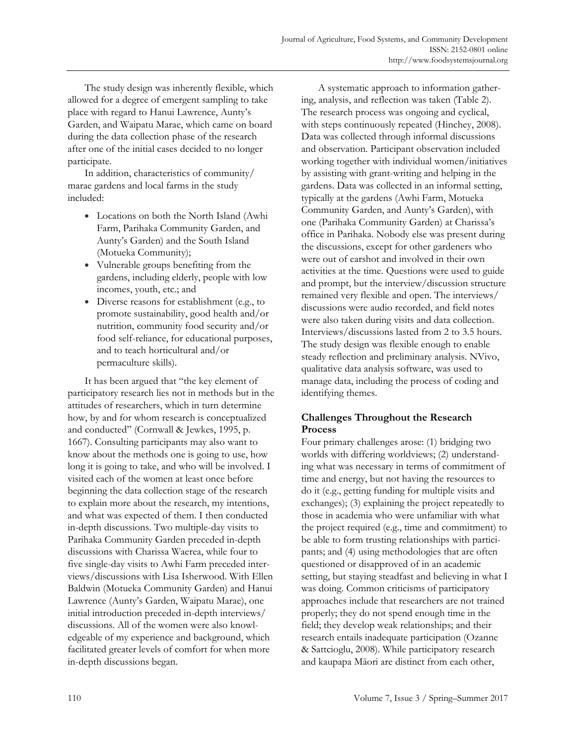The study design was inherently flexible, which allowed for a degree of emergent sampling to take place with regard to Hanui Lawrence, Aunty's Garden, and Waipatu Marae, which came on board during the data collection phase of the research after one of the initial cases decided to no longer participate.

 In addition, characteristics of community/ marae gardens and local farms in the study included:

- Locations on both the North Island (Awhi Farm, Parihaka Community Garden, and Aunty's Garden) and the South Island (Motueka Community);
- Vulnerable groups benefiting from the gardens, including elderly, people with low incomes, youth, etc.; and
- Diverse reasons for establishment (e.g., to promote sustainability, good health and/or nutrition, community food security and/or food self-reliance, for educational purposes, and to teach horticultural and/or permaculture skills).

 It has been argued that "the key element of participatory research lies not in methods but in the attitudes of researchers, which in turn determine how, by and for whom research is conceptualized and conducted" (Cornwall & Jewkes, 1995, p. 1667). Consulting participants may also want to know about the methods one is going to use, how long it is going to take, and who will be involved. I visited each of the women at least once before beginning the data collection stage of the research to explain more about the research, my intentions, and what was expected of them. I then conducted in-depth discussions. Two multiple-day visits to Parihaka Community Garden preceded in-depth discussions with Charissa Waerea, while four to five single-day visits to Awhi Farm preceded interviews/discussions with Lisa Isherwood. With Ellen Baldwin (Motueka Community Garden) and Hanui Lawrence (Aunty's Garden, Waipatu Marae), one initial introduction preceded in-depth interviews/ discussions. All of the women were also knowledgeable of my experience and background, which facilitated greater levels of comfort for when more in-depth discussions began.

 A systematic approach to information gathering, analysis, and reflection was taken (Table 2). The research process was ongoing and cyclical, with steps continuously repeated (Hinchey, 2008). Data was collected through informal discussions and observation. Participant observation included working together with individual women/initiatives by assisting with grant-writing and helping in the gardens. Data was collected in an informal setting, typically at the gardens (Awhi Farm, Motueka Community Garden, and Aunty's Garden), with one (Parihaka Community Garden) at Charissa's office in Parihaka. Nobody else was present during the discussions, except for other gardeners who were out of earshot and involved in their own activities at the time. Questions were used to guide and prompt, but the interview/discussion structure remained very flexible and open. The interviews/ discussions were audio recorded, and field notes were also taken during visits and data collection. Interviews/discussions lasted from 2 to 3.5 hours. The study design was flexible enough to enable steady reflection and preliminary analysis. NVivo, qualitative data analysis software, was used to manage data, including the process of coding and identifying themes.

### **Challenges Throughout the Research Process**

Four primary challenges arose: (1) bridging two worlds with differing worldviews; (2) understanding what was necessary in terms of commitment of time and energy, but not having the resources to do it (e.g., getting funding for multiple visits and exchanges); (3) explaining the project repeatedly to those in academia who were unfamiliar with what the project required (e.g., time and commitment) to be able to form trusting relationships with participants; and (4) using methodologies that are often questioned or disapproved of in an academic setting, but staying steadfast and believing in what I was doing. Common criticisms of participatory approaches include that researchers are not trained properly; they do not spend enough time in the field; they develop weak relationships; and their research entails inadequate participation (Ozanne & Sattcioglu, 2008). While participatory research and kaupapa Māori are distinct from each other,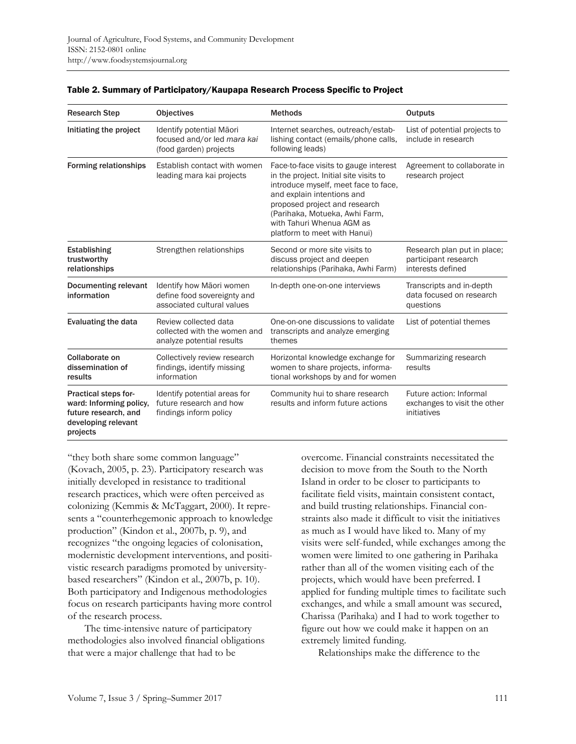| <b>Research Step</b>                                                                                              | <b>Objectives</b>                                                                     | <b>Methods</b>                                                                                                                                                                                                                                                                        | <b>Outputs</b>                                                           |
|-------------------------------------------------------------------------------------------------------------------|---------------------------------------------------------------------------------------|---------------------------------------------------------------------------------------------------------------------------------------------------------------------------------------------------------------------------------------------------------------------------------------|--------------------------------------------------------------------------|
| Initiating the project                                                                                            | Identify potential Māori<br>focused and/or led mara kai<br>(food garden) projects     | Internet searches, outreach/estab-<br>lishing contact (emails/phone calls,<br>following leads)                                                                                                                                                                                        | List of potential projects to<br>include in research                     |
| <b>Forming relationships</b>                                                                                      | Establish contact with women<br>leading mara kai projects                             | Face-to-face visits to gauge interest<br>in the project. Initial site visits to<br>introduce myself, meet face to face,<br>and explain intentions and<br>proposed project and research<br>(Parihaka, Motueka, Awhi Farm,<br>with Tahuri Whenua AGM as<br>platform to meet with Hanui) | Agreement to collaborate in<br>research project                          |
| <b>Establishing</b><br>trustworthy<br>relationships                                                               | Strengthen relationships                                                              | Second or more site visits to<br>discuss project and deepen<br>relationships (Parihaka, Awhi Farm)                                                                                                                                                                                    | Research plan put in place;<br>participant research<br>interests defined |
| <b>Documenting relevant</b><br>information                                                                        | Identify how Māori women<br>define food sovereignty and<br>associated cultural values | In-depth one-on-one interviews                                                                                                                                                                                                                                                        | Transcripts and in-depth<br>data focused on research<br>questions        |
| <b>Evaluating the data</b>                                                                                        | Review collected data<br>collected with the women and<br>analyze potential results    | One-on-one discussions to validate<br>transcripts and analyze emerging<br>themes                                                                                                                                                                                                      | List of potential themes                                                 |
| Collaborate on<br>dissemination of<br>results                                                                     | Collectively review research<br>findings, identify missing<br>information             | Horizontal knowledge exchange for<br>women to share projects, informa-<br>tional workshops by and for women                                                                                                                                                                           | Summarizing research<br>results                                          |
| <b>Practical steps for-</b><br>ward: Informing policy,<br>future research, and<br>developing relevant<br>projects | Identify potential areas for<br>future research and how<br>findings inform policy     | Community hui to share research<br>results and inform future actions                                                                                                                                                                                                                  | Future action: Informal<br>exchanges to visit the other<br>initiatives   |

#### Table 2. Summary of Participatory/Kaupapa Research Process Specific to Project

"they both share some common language" (Kovach, 2005, p. 23). Participatory research was initially developed in resistance to traditional research practices, which were often perceived as colonizing (Kemmis & McTaggart, 2000). It represents a "counterhegemonic approach to knowledge production" (Kindon et al., 2007b, p. 9), and recognizes "the ongoing legacies of colonisation, modernistic development interventions, and positivistic research paradigms promoted by universitybased researchers" (Kindon et al., 2007b, p. 10). Both participatory and Indigenous methodologies focus on research participants having more control of the research process.

 The time-intensive nature of participatory methodologies also involved financial obligations that were a major challenge that had to be

overcome. Financial constraints necessitated the decision to move from the South to the North Island in order to be closer to participants to facilitate field visits, maintain consistent contact, and build trusting relationships. Financial constraints also made it difficult to visit the initiatives as much as I would have liked to. Many of my visits were self-funded, while exchanges among the women were limited to one gathering in Parihaka rather than all of the women visiting each of the projects, which would have been preferred. I applied for funding multiple times to facilitate such exchanges, and while a small amount was secured, Charissa (Parihaka) and I had to work together to figure out how we could make it happen on an extremely limited funding.

Relationships make the difference to the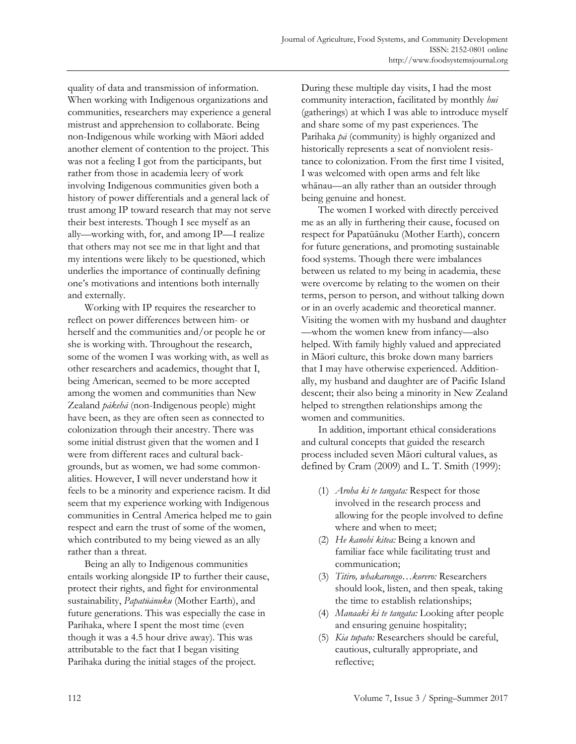quality of data and transmission of information. When working with Indigenous organizations and communities, researchers may experience a general mistrust and apprehension to collaborate. Being non-Indigenous while working with Māori added another element of contention to the project. This was not a feeling I got from the participants, but rather from those in academia leery of work involving Indigenous communities given both a history of power differentials and a general lack of trust among IP toward research that may not serve their best interests. Though I see myself as an ally—working with, for, and among IP—I realize that others may not see me in that light and that my intentions were likely to be questioned, which underlies the importance of continually defining one's motivations and intentions both internally and externally.

 Working with IP requires the researcher to reflect on power differences between him- or herself and the communities and/or people he or she is working with. Throughout the research, some of the women I was working with, as well as other researchers and academics, thought that I, being American, seemed to be more accepted among the women and communities than New Zealand *pākehā* (non-Indigenous people) might have been, as they are often seen as connected to colonization through their ancestry. There was some initial distrust given that the women and I were from different races and cultural backgrounds, but as women, we had some commonalities. However, I will never understand how it feels to be a minority and experience racism. It did seem that my experience working with Indigenous communities in Central America helped me to gain respect and earn the trust of some of the women, which contributed to my being viewed as an ally rather than a threat.

 Being an ally to Indigenous communities entails working alongside IP to further their cause, protect their rights, and fight for environmental sustainability, *Papatūānuku* (Mother Earth), and future generations. This was especially the case in Parihaka, where I spent the most time (even though it was a 4.5 hour drive away). This was attributable to the fact that I began visiting Parihaka during the initial stages of the project.

During these multiple day visits, I had the most community interaction, facilitated by monthly *hui* (gatherings) at which I was able to introduce myself and share some of my past experiences. The Parihaka *pā* (community) is highly organized and historically represents a seat of nonviolent resistance to colonization. From the first time I visited, I was welcomed with open arms and felt like whānau—an ally rather than an outsider through being genuine and honest.

 The women I worked with directly perceived me as an ally in furthering their cause, focused on respect for Papatūānuku (Mother Earth), concern for future generations, and promoting sustainable food systems. Though there were imbalances between us related to my being in academia, these were overcome by relating to the women on their terms, person to person, and without talking down or in an overly academic and theoretical manner. Visiting the women with my husband and daughter —whom the women knew from infancy—also helped. With family highly valued and appreciated in Māori culture, this broke down many barriers that I may have otherwise experienced. Additionally, my husband and daughter are of Pacific Island descent; their also being a minority in New Zealand helped to strengthen relationships among the women and communities.

 In addition, important ethical considerations and cultural concepts that guided the research process included seven Māori cultural values, as defined by Cram (2009) and L. T. Smith (1999):

- (1) *Aroha ki te tangata:* Respect for those involved in the research process and allowing for the people involved to define where and when to meet;
- (2) *He kanohi kitea:* Being a known and familiar face while facilitating trust and communication;
- (3) *Titiro, whakarongo…korero:* Researchers should look, listen, and then speak, taking the time to establish relationships;
- (4) *Manaaki ki te tangata:* Looking after people and ensuring genuine hospitality;
- (5) *Kia tupato:* Researchers should be careful, cautious, culturally appropriate, and reflective;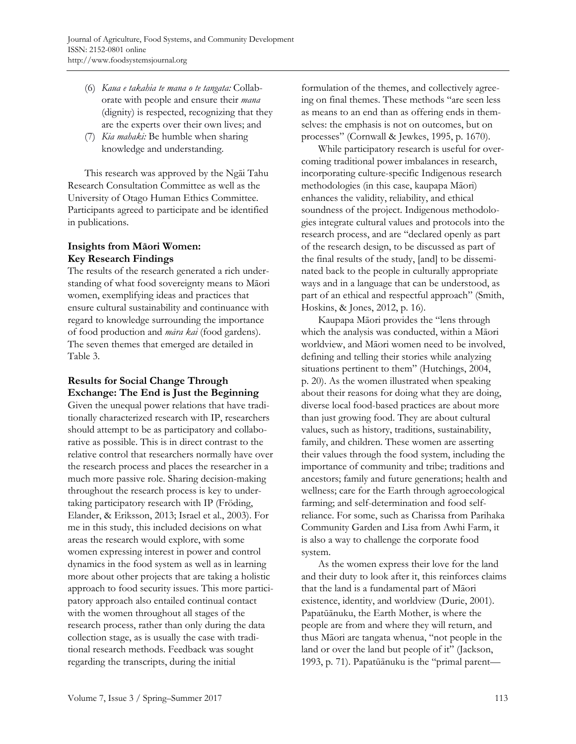- (6) *Kaua e takahia te mana o te tangata:* Collaborate with people and ensure their *mana* (dignity) is respected, recognizing that they are the experts over their own lives; and
- (7) *Kia mahaki:* Be humble when sharing knowledge and understanding.

 This research was approved by the Ngāi Tahu Research Consultation Committee as well as the University of Otago Human Ethics Committee. Participants agreed to participate and be identified in publications.

# **Insights from Māori Women: Key Research Findings**

The results of the research generated a rich understanding of what food sovereignty means to Māori women, exemplifying ideas and practices that ensure cultural sustainability and continuance with regard to knowledge surrounding the importance of food production and *māra kai* (food gardens). The seven themes that emerged are detailed in Table 3.

# **Results for Social Change Through Exchange: The End is Just the Beginning**

Given the unequal power relations that have traditionally characterized research with IP, researchers should attempt to be as participatory and collaborative as possible. This is in direct contrast to the relative control that researchers normally have over the research process and places the researcher in a much more passive role. Sharing decision-making throughout the research process is key to undertaking participatory research with IP (Fröding, Elander, & Eriksson, 2013; Israel et al., 2003). For me in this study, this included decisions on what areas the research would explore, with some women expressing interest in power and control dynamics in the food system as well as in learning more about other projects that are taking a holistic approach to food security issues. This more participatory approach also entailed continual contact with the women throughout all stages of the research process, rather than only during the data collection stage, as is usually the case with traditional research methods. Feedback was sought regarding the transcripts, during the initial

formulation of the themes, and collectively agreeing on final themes. These methods "are seen less as means to an end than as offering ends in themselves: the emphasis is not on outcomes, but on processes" (Cornwall & Jewkes, 1995, p. 1670).

 While participatory research is useful for overcoming traditional power imbalances in research, incorporating culture-specific Indigenous research methodologies (in this case, kaupapa Māori) enhances the validity, reliability, and ethical soundness of the project. Indigenous methodologies integrate cultural values and protocols into the research process, and are "declared openly as part of the research design, to be discussed as part of the final results of the study, [and] to be disseminated back to the people in culturally appropriate ways and in a language that can be understood, as part of an ethical and respectful approach" (Smith, Hoskins, & Jones, 2012, p. 16).

 Kaupapa Māori provides the "lens through which the analysis was conducted, within a Māori worldview, and Māori women need to be involved, defining and telling their stories while analyzing situations pertinent to them" (Hutchings, 2004, p. 20). As the women illustrated when speaking about their reasons for doing what they are doing, diverse local food-based practices are about more than just growing food. They are about cultural values, such as history, traditions, sustainability, family, and children. These women are asserting their values through the food system, including the importance of community and tribe; traditions and ancestors; family and future generations; health and wellness; care for the Earth through agroecological farming; and self-determination and food selfreliance. For some, such as Charissa from Parihaka Community Garden and Lisa from Awhi Farm, it is also a way to challenge the corporate food system.

 As the women express their love for the land and their duty to look after it, this reinforces claims that the land is a fundamental part of Māori existence, identity, and worldview (Durie, 2001). Papatūānuku, the Earth Mother, is where the people are from and where they will return, and thus Māori are tangata whenua, "not people in the land or over the land but people of it" (Jackson, 1993, p. 71). Papatūānuku is the "primal parent—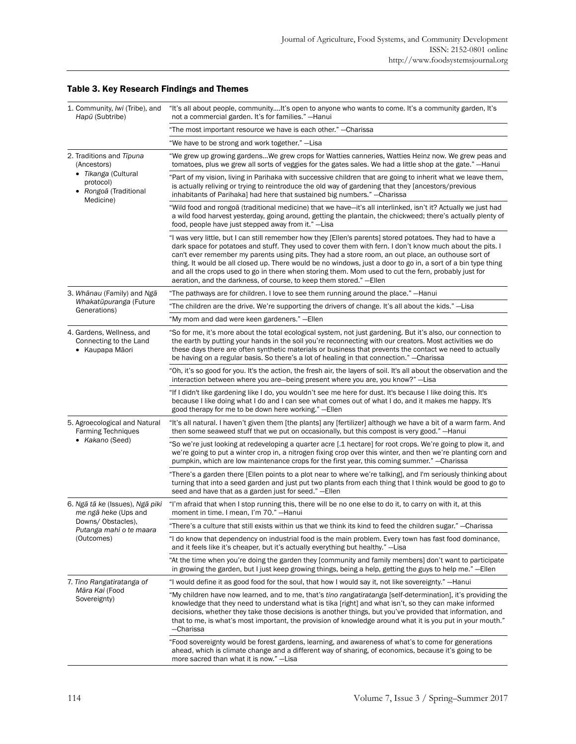| 1. Community, Iwi (Tribe), and<br>Hapū (Subtribe)                                                                 | "It's all about people, communityIt's open to anyone who wants to come. It's a community garden, It's<br>not a commercial garden. It's for families." - Hanui                                                                                                                                      |                                                                                                                                                                                                                                                                                                                                                                                                                                                                                                                                                                                                                                  |  |
|-------------------------------------------------------------------------------------------------------------------|----------------------------------------------------------------------------------------------------------------------------------------------------------------------------------------------------------------------------------------------------------------------------------------------------|----------------------------------------------------------------------------------------------------------------------------------------------------------------------------------------------------------------------------------------------------------------------------------------------------------------------------------------------------------------------------------------------------------------------------------------------------------------------------------------------------------------------------------------------------------------------------------------------------------------------------------|--|
|                                                                                                                   | "The most important resource we have is each other." - Charissa                                                                                                                                                                                                                                    |                                                                                                                                                                                                                                                                                                                                                                                                                                                                                                                                                                                                                                  |  |
|                                                                                                                   | "We have to be strong and work together." - Lisa                                                                                                                                                                                                                                                   |                                                                                                                                                                                                                                                                                                                                                                                                                                                                                                                                                                                                                                  |  |
| 2. Traditions and Tipuna<br>(Ancestors)<br>· Tikanga (Cultural<br>protocol)<br>• Rongoa (Traditional<br>Medicine) | "We grew up growing gardensWe grew crops for Watties canneries, Watties Heinz now. We grew peas and<br>tomatoes, plus we grew all sorts of veggies for the gates sales. We had a little shop at the gate." -Hanui                                                                                  |                                                                                                                                                                                                                                                                                                                                                                                                                                                                                                                                                                                                                                  |  |
|                                                                                                                   | "Part of my vision, living in Parihaka with successive children that are going to inherit what we leave them,<br>is actually reliving or trying to reintroduce the old way of gardening that they [ancestors/previous<br>inhabitants of Parihaka] had here that sustained big numbers." - Charissa |                                                                                                                                                                                                                                                                                                                                                                                                                                                                                                                                                                                                                                  |  |
|                                                                                                                   | "Wild food and rongoa (traditional medicine) that we have—it's all interlinked, isn't it? Actually we just had<br>a wild food harvest yesterday, going around, getting the plantain, the chickweed; there's actually plenty of<br>food, people have just stepped away from it." -Lisa              |                                                                                                                                                                                                                                                                                                                                                                                                                                                                                                                                                                                                                                  |  |
|                                                                                                                   |                                                                                                                                                                                                                                                                                                    | "I was very little, but I can still remember how they [Ellen's parents] stored potatoes. They had to have a<br>dark space for potatoes and stuff. They used to cover them with fern. I don't know much about the pits. I<br>can't ever remember my parents using pits. They had a store room, an out place, an outhouse sort of<br>thing. It would be all closed up. There would be no windows, just a door to go in, a sort of a bin type thing<br>and all the crops used to go in there when storing them. Mom used to cut the fern, probably just for<br>aeration, and the darkness, of course, to keep them stored." - Ellen |  |
|                                                                                                                   | 3. Whanau (Family) and Nga                                                                                                                                                                                                                                                                         | "The pathways are for children. I love to see them running around the place." -Hanui                                                                                                                                                                                                                                                                                                                                                                                                                                                                                                                                             |  |
|                                                                                                                   | Whakatūpuranga (Future<br>Generations)                                                                                                                                                                                                                                                             | "The children are the drive. We're supporting the drivers of change. It's all about the kids." -Lisa                                                                                                                                                                                                                                                                                                                                                                                                                                                                                                                             |  |
|                                                                                                                   |                                                                                                                                                                                                                                                                                                    | "My mom and dad were keen gardeners." - Ellen                                                                                                                                                                                                                                                                                                                                                                                                                                                                                                                                                                                    |  |
|                                                                                                                   | 4. Gardens, Wellness, and<br>Connecting to the Land<br>• Kaupapa Māori                                                                                                                                                                                                                             | "So for me, it's more about the total ecological system, not just gardening. But it's also, our connection to<br>the earth by putting your hands in the soil you're reconnecting with our creators. Most activities we do<br>these days there are often synthetic materials or business that prevents the contact we need to actually<br>be having on a regular basis. So there's a lot of healing in that connection." - Charissa                                                                                                                                                                                               |  |
|                                                                                                                   |                                                                                                                                                                                                                                                                                                    | "Oh, it's so good for you. It's the action, the fresh air, the layers of soil. It's all about the observation and the<br>interaction between where you are—being present where you are, you know?"—Lisa                                                                                                                                                                                                                                                                                                                                                                                                                          |  |
|                                                                                                                   |                                                                                                                                                                                                                                                                                                    | "If I didn't like gardening like I do, you wouldn't see me here for dust. It's because I like doing this. It's<br>because I like doing what I do and I can see what comes out of what I do, and it makes me happy. It's<br>good therapy for me to be down here working." - Ellen                                                                                                                                                                                                                                                                                                                                                 |  |
|                                                                                                                   | 5. Agroecological and Natural<br><b>Farming Techniques</b><br>• Kakano (Seed)                                                                                                                                                                                                                      | "It's all natural. I haven't given them [the plants] any [fertilizer] although we have a bit of a warm farm. And<br>then some seaweed stuff that we put on occasionally, but this compost is very good." -Hanui                                                                                                                                                                                                                                                                                                                                                                                                                  |  |
|                                                                                                                   |                                                                                                                                                                                                                                                                                                    | "So we're just looking at redeveloping a quarter acre [.1 hectare] for root crops. We're going to plow it, and<br>we're going to put a winter crop in, a nitrogen fixing crop over this winter, and then we're planting corn and<br>pumpkin, which are low maintenance crops for the first year, this coming summer." - Charissa                                                                                                                                                                                                                                                                                                 |  |
|                                                                                                                   |                                                                                                                                                                                                                                                                                                    | "There's a garden there [Ellen points to a plot near to where we're talking], and I'm seriously thinking about<br>turning that into a seed garden and just put two plants from each thing that I think would be good to go to<br>seed and have that as a garden just for seed." - Ellen                                                                                                                                                                                                                                                                                                                                          |  |
|                                                                                                                   | 6. Ngā tā ke (Issues), Ngā piki<br>me ngā heke (Ups and<br>Downs/ Obstacles),<br>Putanga mahi o te maara<br>(Outcomes)                                                                                                                                                                             | "I'm afraid that when I stop running this, there will be no one else to do it, to carry on with it, at this<br>moment in time. I mean, I'm 70." - Hanui                                                                                                                                                                                                                                                                                                                                                                                                                                                                          |  |
|                                                                                                                   |                                                                                                                                                                                                                                                                                                    | "There's a culture that still exists within us that we think its kind to feed the children sugar." —Charissa                                                                                                                                                                                                                                                                                                                                                                                                                                                                                                                     |  |
|                                                                                                                   |                                                                                                                                                                                                                                                                                                    | "I do know that dependency on industrial food is the main problem. Every town has fast food dominance,<br>and it feels like it's cheaper, but it's actually everything but healthy." -Lisa                                                                                                                                                                                                                                                                                                                                                                                                                                       |  |
|                                                                                                                   |                                                                                                                                                                                                                                                                                                    | "At the time when you're doing the garden they [community and family members] don't want to participate<br>in growing the garden, but I just keep growing things, being a help, getting the guys to help me." - Ellen                                                                                                                                                                                                                                                                                                                                                                                                            |  |
|                                                                                                                   | 7. Tino Rangatiratanga of<br>Māra Kai (Food<br>Sovereignty)                                                                                                                                                                                                                                        | "I would define it as good food for the soul, that how I would say it, not like sovereignty." -Hanui                                                                                                                                                                                                                                                                                                                                                                                                                                                                                                                             |  |
|                                                                                                                   |                                                                                                                                                                                                                                                                                                    | "My children have now learned, and to me, that's tino rangatiratanga [self-determination], it's providing the<br>knowledge that they need to understand what is tika [right] and what isn't, so they can make informed<br>decisions, whether they take those decisions is another things, but you've provided that information, and<br>that to me, is what's most important, the provision of knowledge around what it is you put in your mouth."<br>-Charissa                                                                                                                                                                   |  |
|                                                                                                                   | "Food sovereignty would be forest gardens, learning, and awareness of what's to come for generations<br>ahead, which is climate change and a different way of sharing, of economics, because it's going to be<br>more sacred than what it is now." -Lisa                                           |                                                                                                                                                                                                                                                                                                                                                                                                                                                                                                                                                                                                                                  |  |

# Table 3. Key Research Findings and Themes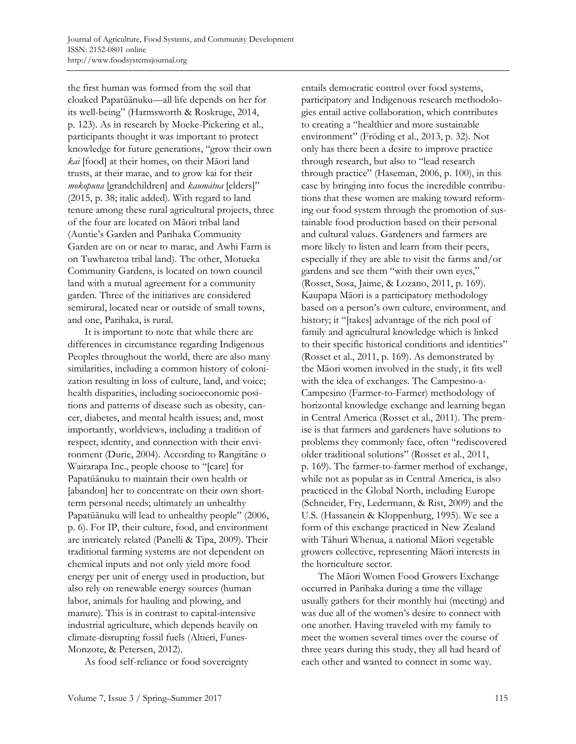the first human was formed from the soil that cloaked Papatūānuku—all life depends on her for its well-being" (Harmsworth & Roskruge, 2014, p. 123). As in research by Moeke-Pickering et al., participants thought it was important to protect knowledge for future generations, "grow their own *kai* [food] at their homes, on their Māori land trusts, at their marae, and to grow kai for their *mokopuna* [grandchildren] and *kaumātua* [elders]" (2015, p. 38; italic added). With regard to land tenure among these rural agricultural projects, three of the four are located on Māori tribal land (Auntie's Garden and Parihaka Community Garden are on or near to marae, and Awhi Farm is on Tuwharetoa tribal land). The other, Motueka Community Gardens, is located on town council land with a mutual agreement for a community garden. Three of the initiatives are considered semirural, located near or outside of small towns, and one, Parihaka, is rural.

 It is important to note that while there are differences in circumstance regarding Indigenous Peoples throughout the world, there are also many similarities, including a common history of colonization resulting in loss of culture, land, and voice; health disparities, including socioeconomic positions and patterns of disease such as obesity, cancer, diabetes, and mental health issues; and, most importantly, worldviews, including a tradition of respect, identity, and connection with their environment (Durie, 2004). According to Rangitāne o Wairarapa Inc., people choose to "[care] for Papatūānuku to maintain their own health or [abandon] her to concentrate on their own shortterm personal needs; ultimately an unhealthy Papatūānuku will lead to unhealthy people" (2006, p. 6). For IP, their culture, food, and environment are intricately related (Panelli & Tipa, 2009). Their traditional farming systems are not dependent on chemical inputs and not only yield more food energy per unit of energy used in production, but also rely on renewable energy sources (human labor, animals for hauling and plowing, and manure). This is in contrast to capital-intensive industrial agriculture, which depends heavily on climate-disrupting fossil fuels (Altieri, Funes-Monzote, & Petersen, 2012).

As food self-reliance or food sovereignty

entails democratic control over food systems, participatory and Indigenous research methodologies entail active collaboration, which contributes to creating a "healthier and more sustainable environment" (Fröding et al., 2013, p. 32). Not only has there been a desire to improve practice through research, but also to "lead research through practice" (Haseman, 2006, p. 100), in this case by bringing into focus the incredible contributions that these women are making toward reforming our food system through the promotion of sustainable food production based on their personal and cultural values. Gardeners and farmers are more likely to listen and learn from their peers, especially if they are able to visit the farms and/or gardens and see them "with their own eyes," (Rosset, Sosa, Jaime, & Lozano, 2011, p. 169). Kaupapa Māori is a participatory methodology based on a person's own culture, environment, and history; it "[takes] advantage of the rich pool of family and agricultural knowledge which is linked to their specific historical conditions and identities" (Rosset et al., 2011, p. 169). As demonstrated by the Māori women involved in the study, it fits well with the idea of exchanges. The Campesino-a-Campesino (Farmer-to-Farmer) methodology of horizontal knowledge exchange and learning began in Central America (Rosset et al., 2011). The premise is that farmers and gardeners have solutions to problems they commonly face, often "rediscovered older traditional solutions" (Rosset et al., 2011, p. 169). The farmer-to-farmer method of exchange, while not as popular as in Central America, is also practiced in the Global North, including Europe (Schneider, Fry, Ledermann, & Rist, 2009) and the U.S. (Hassanein & Kloppenburg, 1995). We see a form of this exchange practiced in New Zealand with Tāhuri Whenua, a national Māori vegetable growers collective, representing Māori interests in the horticulture sector.

 The Māori Women Food Growers Exchange occurred in Parihaka during a time the village usually gathers for their monthly hui (meeting) and was due all of the women's desire to connect with one another. Having traveled with my family to meet the women several times over the course of three years during this study, they all had heard of each other and wanted to connect in some way.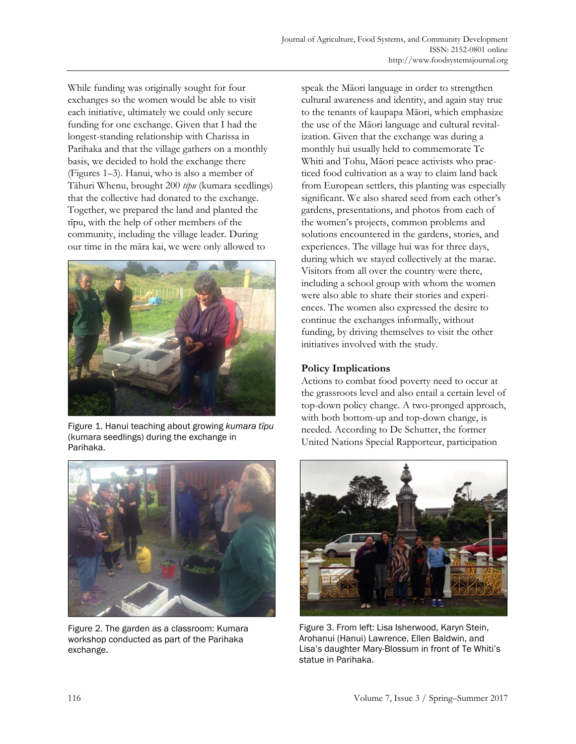While funding was originally sought for four exchanges so the women would be able to visit each initiative, ultimately we could only secure funding for one exchange. Given that I had the longest-standing relationship with Charissa in Parihaka and that the village gathers on a monthly basis, we decided to hold the exchange there (Figures 1–3). Hanui, who is also a member of Tāhuri Whenu, brought 200 *tīpu* (kumara seedlings) that the collective had donated to the exchange. Together, we prepared the land and planted the tīpu, with the help of other members of the community, including the village leader. During our time in the māra kai, we were only allowed to



Figure 1. Hanui teaching about growing *kumara tīpu* (kumara seedlings) during the exchange in Parihaka.



Figure 2. The garden as a classroom: Kumara workshop conducted as part of the Parihaka exchange.

speak the Māori language in order to strengthen cultural awareness and identity, and again stay true to the tenants of kaupapa Māori, which emphasize the use of the Māori language and cultural revitalization. Given that the exchange was during a monthly hui usually held to commemorate Te Whiti and Tohu, Māori peace activists who practiced food cultivation as a way to claim land back from European settlers, this planting was especially significant. We also shared seed from each other's gardens, presentations, and photos from each of the women's projects, common problems and solutions encountered in the gardens, stories, and experiences. The village hui was for three days, during which we stayed collectively at the marae. Visitors from all over the country were there, including a school group with whom the women were also able to share their stories and experiences. The women also expressed the desire to continue the exchanges informally, without funding, by driving themselves to visit the other initiatives involved with the study.

## **Policy Implications**

Actions to combat food poverty need to occur at the grassroots level and also entail a certain level of top-down policy change. A two-pronged approach, with both bottom-up and top-down change, is needed. According to De Schutter, the former United Nations Special Rapporteur, participation



Figure 3. From left: Lisa Isherwood, Karyn Stein, Arohanui (Hanui) Lawrence, Ellen Baldwin, and Lisa's daughter Mary-Blossum in front of Te Whiti's statue in Parihaka.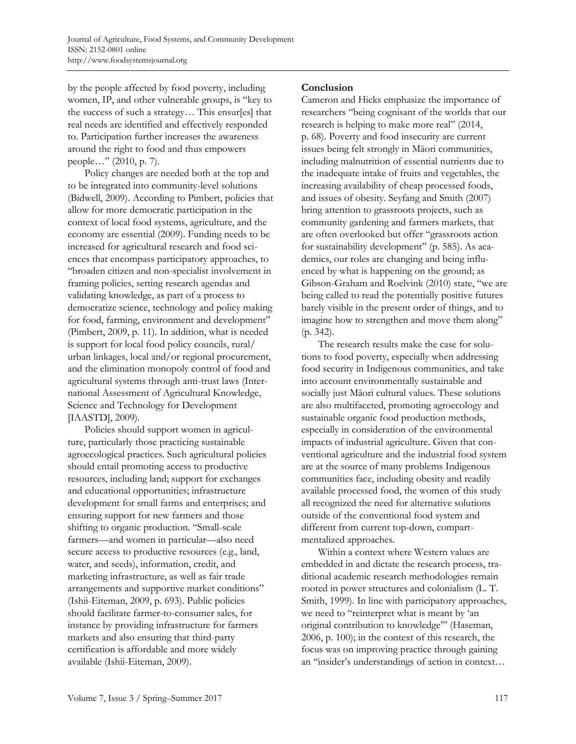by the people affected by food poverty, including women, IP, and other vulnerable groups, is "key to the success of such a strategy… This ensur[es] that real needs are identified and effectively responded to. Participation further increases the awareness around the right to food and thus empowers people…" (2010, p. 7).

 Policy changes are needed both at the top and to be integrated into community-level solutions (Bidwell, 2009). According to Pimbert, policies that allow for more democratic participation in the context of local food systems, agriculture, and the economy are essential (2009). Funding needs to be increased for agricultural research and food sciences that encompass participatory approaches, to "broaden citizen and non-specialist involvement in framing policies, setting research agendas and validating knowledge, as part of a process to democratize science, technology and policy making for food, farming, environment and development" (Pimbert, 2009, p. 11). In addition, what is needed is support for local food policy councils, rural/ urban linkages, local and/or regional procurement, and the elimination monopoly control of food and agricultural systems through anti-trust laws (International Assessment of Agricultural Knowledge, Science and Technology for Development [IAASTD], 2009).

 Policies should support women in agriculture, particularly those practicing sustainable agroecological practices. Such agricultural policies should entail promoting access to productive resources, including land; support for exchanges and educational opportunities; infrastructure development for small farms and enterprises; and ensuring support for new farmers and those shifting to organic production. "Small-scale farmers—and women in particular—also need secure access to productive resources (e.g., land, water, and seeds), information, credit, and marketing infrastructure, as well as fair trade arrangements and supportive market conditions" (Ishii-Eiteman, 2009, p. 693). Public policies should facilitate farmer-to-consumer sales, for instance by providing infrastructure for farmers markets and also ensuring that third-party certification is affordable and more widely available (Ishii-Eiteman, 2009).

## **Conclusion**

Cameron and Hicks emphasize the importance of researchers "being cognisant of the worlds that our research is helping to make more real" (2014, p. 68). Poverty and food insecurity are current issues being felt strongly in Māori communities, including malnutrition of essential nutrients due to the inadequate intake of fruits and vegetables, the increasing availability of cheap processed foods, and issues of obesity. Seyfang and Smith (2007) bring attention to grassroots projects, such as community gardening and farmers markets, that are often overlooked but offer "grassroots action for sustainability development" (p. 585). As academics, our roles are changing and being influenced by what is happening on the ground; as Gibson-Graham and Roelvink (2010) state, "we are being called to read the potentially positive futures barely visible in the present order of things, and to imagine how to strengthen and move them along" (p. 342).

 The research results make the case for solutions to food poverty, especially when addressing food security in Indigenous communities, and take into account environmentally sustainable and socially just Māori cultural values. These solutions are also multifaceted, promoting agroecology and sustainable organic food production methods, especially in consideration of the environmental impacts of industrial agriculture. Given that conventional agriculture and the industrial food system are at the source of many problems Indigenous communities face, including obesity and readily available processed food, the women of this study all recognized the need for alternative solutions outside of the conventional food system and different from current top-down, compartmentalized approaches.

 Within a context where Western values are embedded in and dictate the research process, traditional academic research methodologies remain rooted in power structures and colonialism (L. T. Smith, 1999). In line with participatory approaches, we need to "reinterpret what is meant by 'an original contribution to knowledge'" (Haseman, 2006, p. 100); in the context of this research, the focus was on improving practice through gaining an "insider's understandings of action in context…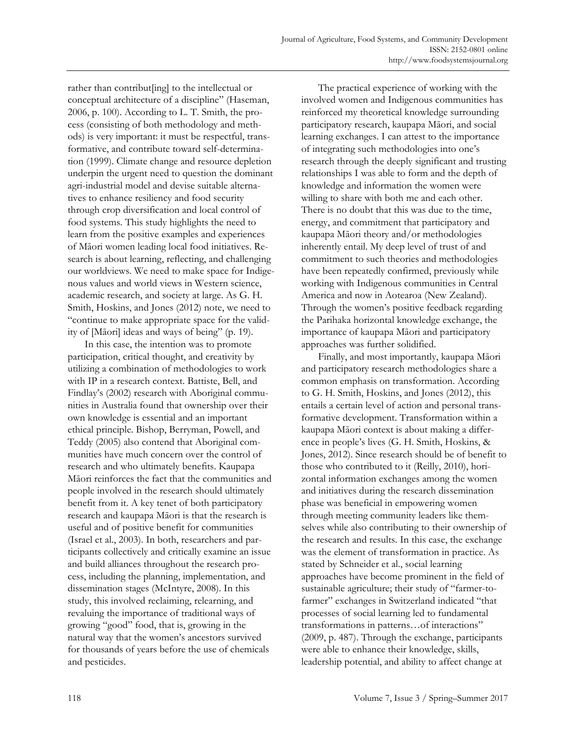rather than contribut[ing] to the intellectual or conceptual architecture of a discipline" (Haseman, 2006, p. 100). According to L. T. Smith, the process (consisting of both methodology and methods) is very important: it must be respectful, transformative, and contribute toward self-determination (1999). Climate change and resource depletion underpin the urgent need to question the dominant agri-industrial model and devise suitable alternatives to enhance resiliency and food security through crop diversification and local control of food systems. This study highlights the need to learn from the positive examples and experiences of Māori women leading local food initiatives. Research is about learning, reflecting, and challenging our worldviews. We need to make space for Indigenous values and world views in Western science, academic research, and society at large. As G. H. Smith, Hoskins, and Jones (2012) note, we need to "continue to make appropriate space for the validity of [Māori] ideas and ways of being" (p. 19).

 In this case, the intention was to promote participation, critical thought, and creativity by utilizing a combination of methodologies to work with IP in a research context. Battiste, Bell, and Findlay's (2002) research with Aboriginal communities in Australia found that ownership over their own knowledge is essential and an important ethical principle. Bishop, Berryman, Powell, and Teddy (2005) also contend that Aboriginal communities have much concern over the control of research and who ultimately benefits. Kaupapa Māori reinforces the fact that the communities and people involved in the research should ultimately benefit from it. A key tenet of both participatory research and kaupapa Māori is that the research is useful and of positive benefit for communities (Israel et al., 2003). In both, researchers and participants collectively and critically examine an issue and build alliances throughout the research process, including the planning, implementation, and dissemination stages (McIntyre, 2008). In this study, this involved reclaiming, relearning, and revaluing the importance of traditional ways of growing "good" food, that is, growing in the natural way that the women's ancestors survived for thousands of years before the use of chemicals and pesticides.

 The practical experience of working with the involved women and Indigenous communities has reinforced my theoretical knowledge surrounding participatory research, kaupapa Māori, and social learning exchanges. I can attest to the importance of integrating such methodologies into one's research through the deeply significant and trusting relationships I was able to form and the depth of knowledge and information the women were willing to share with both me and each other. There is no doubt that this was due to the time, energy, and commitment that participatory and kaupapa Māori theory and/or methodologies inherently entail. My deep level of trust of and commitment to such theories and methodologies have been repeatedly confirmed, previously while working with Indigenous communities in Central America and now in Aotearoa (New Zealand). Through the women's positive feedback regarding the Parihaka horizontal knowledge exchange, the importance of kaupapa Māori and participatory approaches was further solidified.

 Finally, and most importantly, kaupapa Māori and participatory research methodologies share a common emphasis on transformation. According to G. H. Smith, Hoskins, and Jones (2012), this entails a certain level of action and personal transformative development. Transformation within a kaupapa Māori context is about making a difference in people's lives (G. H. Smith, Hoskins, & Jones, 2012). Since research should be of benefit to those who contributed to it (Reilly, 2010), horizontal information exchanges among the women and initiatives during the research dissemination phase was beneficial in empowering women through meeting community leaders like themselves while also contributing to their ownership of the research and results. In this case, the exchange was the element of transformation in practice. As stated by Schneider et al., social learning approaches have become prominent in the field of sustainable agriculture; their study of "farmer-tofarmer" exchanges in Switzerland indicated "that processes of social learning led to fundamental transformations in patterns…of interactions" (2009, p. 487). Through the exchange, participants were able to enhance their knowledge, skills, leadership potential, and ability to affect change at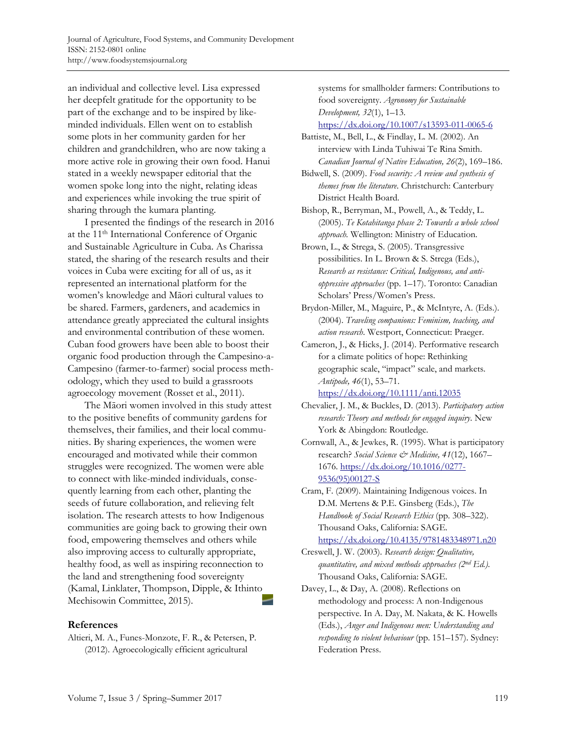an individual and collective level. Lisa expressed her deepfelt gratitude for the opportunity to be part of the exchange and to be inspired by likeminded individuals. Ellen went on to establish some plots in her community garden for her children and grandchildren, who are now taking a more active role in growing their own food. Hanui stated in a weekly newspaper editorial that the women spoke long into the night, relating ideas and experiences while invoking the true spirit of sharing through the kumara planting.

 I presented the findings of the research in 2016 at the 11th International Conference of Organic and Sustainable Agriculture in Cuba. As Charissa stated, the sharing of the research results and their voices in Cuba were exciting for all of us, as it represented an international platform for the women's knowledge and Māori cultural values to be shared. Farmers, gardeners, and academics in attendance greatly appreciated the cultural insights and environmental contribution of these women. Cuban food growers have been able to boost their organic food production through the Campesino-a-Campesino (farmer-to-farmer) social process methodology, which they used to build a grassroots agroecology movement (Rosset et al., 2011).

 The Māori women involved in this study attest to the positive benefits of community gardens for themselves, their families, and their local communities. By sharing experiences, the women were encouraged and motivated while their common struggles were recognized. The women were able to connect with like-minded individuals, consequently learning from each other, planting the seeds of future collaboration, and relieving felt isolation. The research attests to how Indigenous communities are going back to growing their own food, empowering themselves and others while also improving access to culturally appropriate, healthy food, as well as inspiring reconnection to the land and strengthening food sovereignty (Kamal, Linklater, Thompson, Dipple, & Ithinto Mechisowin Committee, 2015).

#### **References**

Altieri, M. A., Funes-Monzote, F. R., & Petersen, P. (2012). Agroecologically efficient agricultural

systems for smallholder farmers: Contributions to food sovereignty. *Agronomy for Sustainable Development, 32*(1), 1–13.

https://dx.doi.org/10.1007/s13593-011-0065-6

- Battiste, M., Bell, L., & Findlay, L. M. (2002). An interview with Linda Tuhiwai Te Rina Smith. *Canadian Journal of Native Education, 26*(2), 169–186.
- Bidwell, S. (2009). *Food security: A review and synthesis of themes from the literature*. Christchurch: Canterbury District Health Board.

Bishop, R., Berryman, M., Powell, A., & Teddy, L. (2005). *Te Kotahitanga phase 2: Towards a whole school approach.* Wellington: Ministry of Education.

Brown, L., & Strega, S. (2005). Transgressive possibilities. In L. Brown & S. Strega (Eds.), *Research as resistance: Critical, Indigenous, and antioppressive approaches* (pp. 1–17). Toronto: Canadian Scholars' Press/Women's Press.

- Brydon-Miller, M., Maguire, P., & McIntyre, A. (Eds.). (2004). *Traveling companions: Feminism, teaching, and action research*. Westport, Connecticut: Praeger.
- Cameron, J., & Hicks, J. (2014). Performative research for a climate politics of hope: Rethinking geographic scale, "impact" scale, and markets. *Antipode, 46*(1), 53–71.

https://dx.doi.org/10.1111/anti.12035

- Chevalier, J. M., & Buckles, D. (2013). *Participatory action research: Theory and methods for engaged inquiry*. New York & Abingdon: Routledge.
- Cornwall, A., & Jewkes, R. (1995). What is participatory research? *Social Science & Medicine, 41*(12), 1667– [1676. https://dx.doi.org/10.1016/0277-](https://dx.doi.org/10.1016/0277-9536(95)00127-S) 9536(95)00127-S
- Cram, F. (2009). Maintaining Indigenous voices. In D.M. Mertens & P.E. Ginsberg (Eds.), *The Handbook of Social Research Ethics* (pp. 308–322). Thousand Oaks, California: SAGE. https://dx.doi.org/10.4135/9781483348971.n20
- Creswell, J. W. (2003). *Research design: Qualitative, quantitative, and mixed methods approaches (2nd Ed.)*. Thousand Oaks, California: SAGE.
- Davey, L., & Day, A. (2008). Reflections on methodology and process: A non-Indigenous perspective. In A. Day, M. Nakata, & K. Howells (Eds.), *Anger and Indigenous men: Understanding and responding to violent behaviour* (pp. 151–157). Sydney: Federation Press.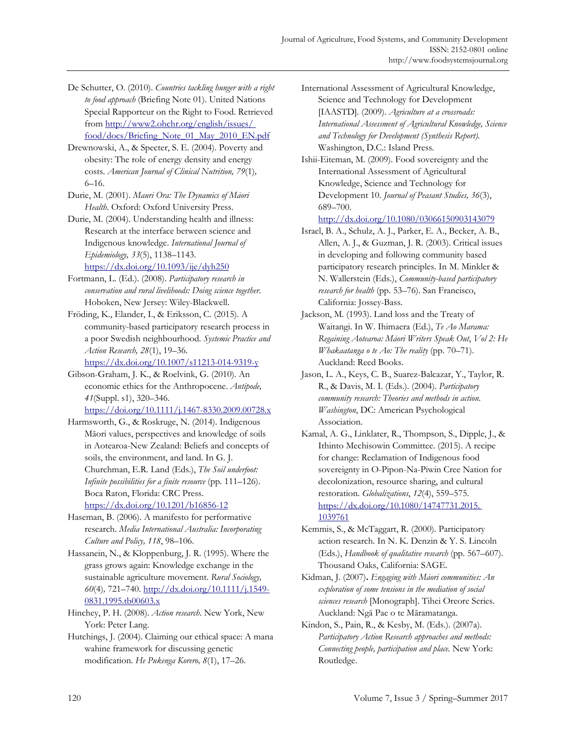- De Schutter, O. (2010). *Countries tackling hunger with a right to food approach* (Briefing Note 01). United Nations Special Rapporteur on the Right to Food. Retrieved from http://www2.ohchr.org/english/issues/ [food/docs/Briefing\\_Note\\_01\\_May\\_2010\\_EN.pdf](http://www2.ohchr.org/english/issues/food/docs/Briefing_Note_01_May_2010_EN.pdf)
- Drewnowski, A., & Specter, S. E. (2004). Poverty and obesity: The role of energy density and energy costs. *American Journal of Clinical Nutrition, 79*(1)*,* 6–16.
- Durie, M. (2001). *Mauri Ora: The Dynamics of Māori Health*. Oxford: Oxford University Press.
- Durie, M. (2004). Understanding health and illness: Research at the interface between science and Indigenous knowledge. *International Journal of Epidemiology, 33*(5), 1138–1143. https://dx.doi.org/10.1093/ije/dyh250
- Fortmann, L. (Ed.). (2008). *Participatory research in conservation and rural livelihoods: Doing science together*. Hoboken, New Jersey: Wiley-Blackwell.
- Fröding, K., Elander, I., & Eriksson, C. (2015). A community-based participatory research process in a poor Swedish neighbourhood. *Systemic Practice and Action Research, 28*(1), 19–36.

https://dx.doi.org/10.1007/s11213-014-9319-y

- Gibson-Graham, J. K., & Roelvink, G. (2010). An economic ethics for the Anthropocene. *Antipode, 41*(Suppl. s1), 320–346. https://doi.org/10.1111/j.1467-8330.2009.00728.x
- Harmsworth, G., & Roskruge, N. (2014). Indigenous Māori values, perspectives and knowledge of soils in Aotearoa-New Zealand: Beliefs and concepts of soils, the environment, and land. In G. J. Churchman, E.R. Land (Eds.), *The Soil underfoot: Infinite possibilities for a finite resource* (pp. 111–126). Boca Raton, Florida: CRC Press. https://dx.doi.org/10.1201/b16856-12
- Haseman, B. (2006). A manifesto for performative research. *Media International Australia: Incorporating Culture and Policy, 118*, 98–106.
- Hassanein, N., & Kloppenburg, J. R. (1995). Where the grass grows again: Knowledge exchange in the sustainable agriculture movement. *Rural Sociology, 60*(4)*,* 721–740. http://dx.doi.org/10.1111/j.1549- 0831.1995.tb00603.x
- Hinchey, P. H. (2008). *Action research*. New York, New York: Peter Lang.
- Hutchings, J. (2004). Claiming our ethical space: A mana wahine framework for discussing genetic modification. *He Pukenga Korero, 8*(1), 17–26.
- International Assessment of Agricultural Knowledge, Science and Technology for Development [IAASTD]. (2009). *Agriculture at a crossroads: International Assessment of Agricultural Knowledge, Science and Technology for Development (Synthesis Report).*  Washington, D.C.: Island Press.
- Ishii-Eiteman, M. (2009). Food sovereignty and the International Assessment of Agricultural Knowledge, Science and Technology for Development 10. *Journal of Peasant Studies, 36*(3), 689–700.

http://dx.doi.org/10.1080/03066150903143079

- Israel, B. A., Schulz, A. J., Parker, E. A., Becker, A. B., Allen, A. J., & Guzman, J. R. (2003). Critical issues in developing and following community based participatory research principles. In M. Minkler & N. Wallerstein (Eds.), *Community-based participatory research for health* (pp. 53–76). San Francisco, California: Jossey-Bass.
- Jackson, M. (1993). Land loss and the Treaty of Waitangi. In W. Ihimaera (Ed.), *Te Ao Marama: Regaining Aotearoa: Māori Writers Speak Out*, *Vol 2: He Whakaatanga o te Ao: The reality* (pp. 70–71). Auckland: Reed Books.
- Jason, L. A., Keys, C. B., Suarez-Balcazar, Y., Taylor, R. R., & Davis, M. I. (Eds.). (2004). *Participatory community research: Theories and methods in action. Washington*, DC: American Psychological Association.
- Kamal, A. G., Linklater, R., Thompson, S., Dipple, J., & Ithinto Mechisowin Committee. (2015). A recipe for change: Reclamation of Indigenous food sovereignty in O-Pipon-Na-Piwin Cree Nation for decolonization, resource sharing, and cultural restoration. *Globalizations*, *12*(4), 559–575. [https://dx.doi.org/10.1080/14747731.2015.](https://dx.doi.org/10.1080/14747731.2015.1039761) 1039761
- Kemmis, S., & McTaggart, R. (2000). Participatory action research. In N. K. Denzin & Y. S. Lincoln (Eds.), *Handbook of qualitative research* (pp. 567–607). Thousand Oaks, California: SAGE.
- Kidman, J. (2007)**.** *Engaging with Māori communities: An exploration of some tensions in the mediation of social sciences research* [Monograph]. Tihei Oreore Series. Auckland: Ngā Pae o te Māramatanga.
- Kindon, S., Pain, R., & Kesby, M. (Eds.). (2007a). *Participatory Action Research approaches and methods: Connecting people, participation and place.* New York: Routledge.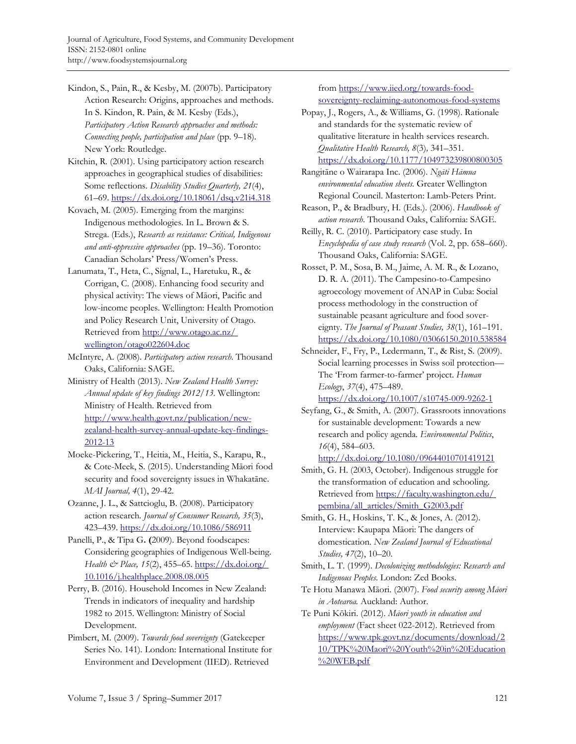- Kindon, S., Pain, R., & Kesby, M. (2007b). Participatory Action Research: Origins, approaches and methods. In S. Kindon, R. Pain, & M. Kesby (Eds.), *Participatory Action Research approaches and methods: Connecting people, participation and place* (pp. 9–18). New York: Routledge.
- Kitchin, R. (2001). Using participatory action research approaches in geographical studies of disabilities: Some reflections. *Disability Studies Quarterly, 21*(4), 61–69. https://dx.doi.org/10.18061/dsq.v21i4.318
- Kovach, M. (2005). Emerging from the margins: Indigenous methodologies. In L. Brown & S. Strega. (Eds.), *Research as resistance: Critical, Indigenous and anti-oppressive approaches* (pp. 19–36). Toronto: Canadian Scholars' Press/Women's Press.
- Lanumata, T., Heta, C., Signal, L., Haretuku, R., & Corrigan, C. (2008). Enhancing food security and physical activity: The views of Māori, Pacific and low-income peoples. Wellington: Health Promotion and Policy Research Unit, University of Otago. [Retrieved from http://www.otago.ac.nz/](http://www.otago.ac.nz/wellington/otago022604.doc) wellington/otago022604.doc
- McIntyre, A. (2008). *Participatory action research*. Thousand Oaks, California: SAGE.
- Ministry of Health (2013). *New Zealand Health Survey: Annual update of key findings 2012/13.* Wellington: Ministry of Health. Retrieved from http://www.health.govt.nz/publication/newzealand-health-survey-annual-update-key-findings-2012-13
- Moeke-Pickering, T., Heitia, M., Heitia, S., Karapu, R., & Cote-Meek, S. (2015). Understanding Māori food security and food sovereignty issues in Whakatāne. *MAI Journal, 4*(1), 29-42.
- Ozanne, J. L., & Sattcioglu, B. (2008). Participatory action research*. Journal of Consumer Research, 35*(3), 423–439. https://dx.doi.org/10.1086/586911
- Panelli, P., & Tipa G**. (**2009). Beyond foodscapes: Considering geographies of Indigenous Well-being. *Health & Place, 15*(2), 455–65. https://dx.doi.org/ [10.1016/j.healthplace.2008.08.005](https://dx.doi.org/10.1016/j.healthplace.2008.08.005)
- Perry, B. (2016). Household Incomes in New Zealand: Trends in indicators of inequality and hardship 1982 to 2015. Wellington: Ministry of Social Development.
- Pimbert, M. (2009). *Towards food sovereignty* (Gatekeeper Series No. 141)*.* London: International Institute for Environment and Development (IIED). Retrieved

from https://www.iied.org/towards-foodsovereignty-reclaiming-autonomous-food-systems

- Popay, J., Rogers, A., & Williams, G. (1998). Rationale and standards for the systematic review of qualitative literature in health services research. *Qualitative Health Research, 8*(3)*,* 341–351. https://dx.doi.org/10.1177/104973239800800305
- Rangitāne o Wairarapa Inc. (2006). *Ngāti Hāmua environmental education sheets.* Greater Wellington Regional Council. Masterton: Lamb-Peters Print.
- Reason, P., & Bradbury, H. (Eds.). (2006). *Handbook of action research*. Thousand Oaks, California: SAGE.
- Reilly, R. C. (2010). Participatory case study. In *Encyclopedia of case study research* (Vol. 2, pp. 658–660). Thousand Oaks, California: SAGE.
- Rosset, P. M., Sosa, B. M., Jaime, A. M. R., & Lozano, D. R. A. (2011). The Campesino-to-Campesino agroecology movement of ANAP in Cuba: Social process methodology in the construction of sustainable peasant agriculture and food sovereignty. *The Journal of Peasant Studies, 38*(1), 161–191. https://dx.doi.org/10.1080/03066150.2010.538584
- Schneider, F., Fry, P., Ledermann, T., & Rist, S. (2009). Social learning processes in Swiss soil protection— The 'From farmer-to-farmer' project. *Human Ecology*, *37*(4), 475–489. https://dx.doi.org/10.1007/s10745-009-9262-1
- Seyfang, G., & Smith, A. (2007). Grassroots innovations for sustainable development: Towards a new research and policy agenda. *Environmental Politics*, *16*(4), 584–603.

http://dx.doi.org/10.1080/09644010701419121

- Smith, G. H. (2003, October). Indigenous struggle for the transformation of education and schooling. [Retrieved from https://faculty.washington.edu/](https://faculty.washington.edu/pembina/all_articles/Smith_G2003.pdf) pembina/all\_articles/Smith\_G2003.pdf
- Smith, G. H., Hoskins, T. K., & Jones, A. (2012). Interview: Kaupapa Māori: The dangers of domestication. *New Zealand Journal of Educational Studies, 47*(2), 10–20.
- Smith, L. T. (1999). *Decolonizing methodologies: Research and Indigenous Peoples*. London: Zed Books.
- Te Hotu Manawa Māori. (2007). *Food security among Māori in Aotearoa.* Auckland: Author.
- Te Puni Kōkiri. (2012). *Māori youth in education and employment* (Fact sheet 022-2012). Retrieved from [https://www.tpk.govt.nz/documents/download/2](https://www.tpk.govt.nz/documents/download/210/TPK%20Maori%20Youth%20in%20Education%20WEB.pdf) 10/TPK%20Maori%20Youth%20in%20Education %20WEB.pdf